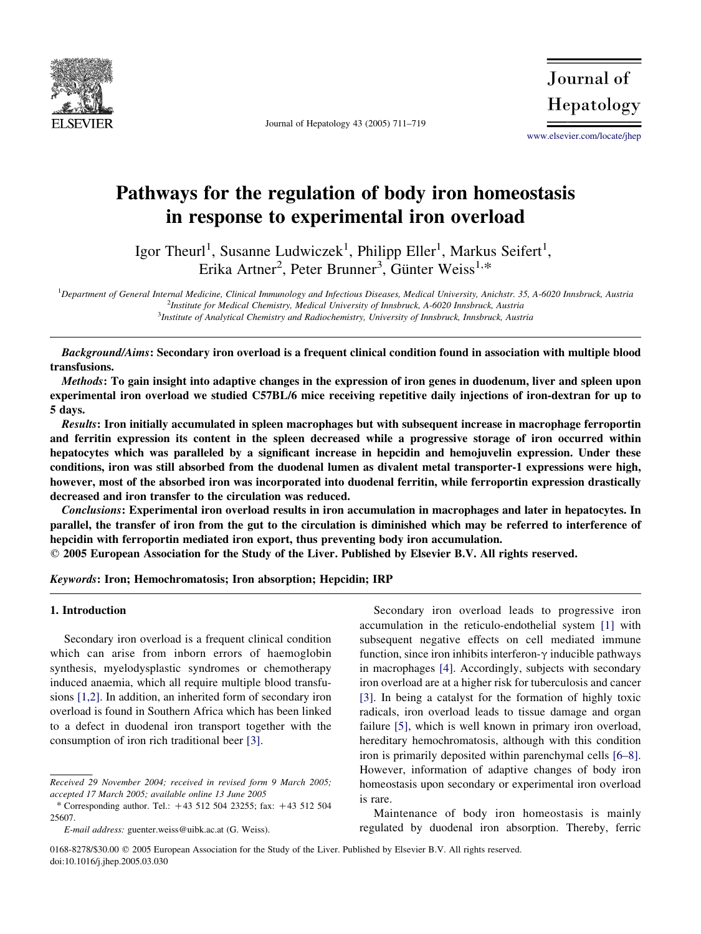

Journal of Hepatology 43 (2005) 711–719

Journal of Hepatology

[www.elsevier.com/locate/jhep](http://www.elsevier.com/locate/asd)

# Pathways for the regulation of body iron homeostasis in response to experimental iron overload

Igor Theurl<sup>1</sup>, Susanne Ludwiczek<sup>1</sup>, Philipp Eller<sup>1</sup>, Markus Seifert<sup>1</sup>, Erika Artner<sup>2</sup>, Peter Brunner<sup>3</sup>, Günter Weiss<sup>1,\*</sup>

<sup>1</sup>Department of General Internal Medicine, Clinical Immunology and Infectious Diseases, Medical University, Anichstr. 35, A-6020 Innsbruck, Austria <sup>2</sup>Institute for Medical Chemistry, Medical University of Innsbruck, A-6020 Innsbruck, Austria  $^3$ Institute of Analytical Chemistry and Radiochemistry, University of Innsbruck, Innsbruck, Austria

Background/Aims: Secondary iron overload is a frequent clinical condition found in association with multiple blood transfusions.

Methods: To gain insight into adaptive changes in the expression of iron genes in duodenum, liver and spleen upon experimental iron overload we studied C57BL/6 mice receiving repetitive daily injections of iron-dextran for up to 5 days.

Results: Iron initially accumulated in spleen macrophages but with subsequent increase in macrophage ferroportin and ferritin expression its content in the spleen decreased while a progressive storage of iron occurred within hepatocytes which was paralleled by a significant increase in hepcidin and hemojuvelin expression. Under these conditions, iron was still absorbed from the duodenal lumen as divalent metal transporter-1 expressions were high, however, most of the absorbed iron was incorporated into duodenal ferritin, while ferroportin expression drastically decreased and iron transfer to the circulation was reduced.

Conclusions: Experimental iron overload results in iron accumulation in macrophages and later in hepatocytes. In parallel, the transfer of iron from the gut to the circulation is diminished which may be referred to interference of hepcidin with ferroportin mediated iron export, thus preventing body iron accumulation.

 $\odot$  2005 European Association for the Study of the Liver. Published by Elsevier B.V. All rights reserved.

Keywords: Iron; Hemochromatosis; Iron absorption; Hepcidin; IRP

#### 1. Introduction

Secondary iron overload is a frequent clinical condition which can arise from inborn errors of haemoglobin synthesis, myelodysplastic syndromes or chemotherapy induced anaemia, which all require multiple blood transfusions [\[1,2\].](#page-7-0) In addition, an inherited form of secondary iron overload is found in Southern Africa which has been linked to a defect in duodenal iron transport together with the consumption of iron rich traditional beer [\[3\]](#page-7-0).

Secondary iron overload leads to progressive iron accumulation in the reticulo-endothelial system [\[1\]](#page-7-0) with subsequent negative effects on cell mediated immune function, since iron inhibits interferon- $\gamma$  inducible pathways in macrophages [\[4\].](#page-7-0) Accordingly, subjects with secondary iron overload are at a higher risk for tuberculosis and cancer [\[3\]](#page-7-0). In being a catalyst for the formation of highly toxic radicals, iron overload leads to tissue damage and organ failure [\[5\],](#page-7-0) which is well known in primary iron overload, hereditary hemochromatosis, although with this condition iron is primarily deposited within parenchymal cells [\[6–8\]](#page-7-0). However, information of adaptive changes of body iron homeostasis upon secondary or experimental iron overload is rare.

Maintenance of body iron homeostasis is mainly regulated by duodenal iron absorption. Thereby, ferric

Received 29 November 2004; received in revised form 9 March 2005; accepted 17 March 2005; available online 13 June 2005

<sup>\*</sup> Corresponding author. Tel.:  $+43\,512\,504\,23255$ ; fax:  $+43\,512\,504$ 25607.

E-mail address: guenter.weiss@uibk.ac.at (G. Weiss).

<sup>0168-8278/\$30.00</sup> q 2005 European Association for the Study of the Liver. Published by Elsevier B.V. All rights reserved. doi:10.1016/j.jhep.2005.03.030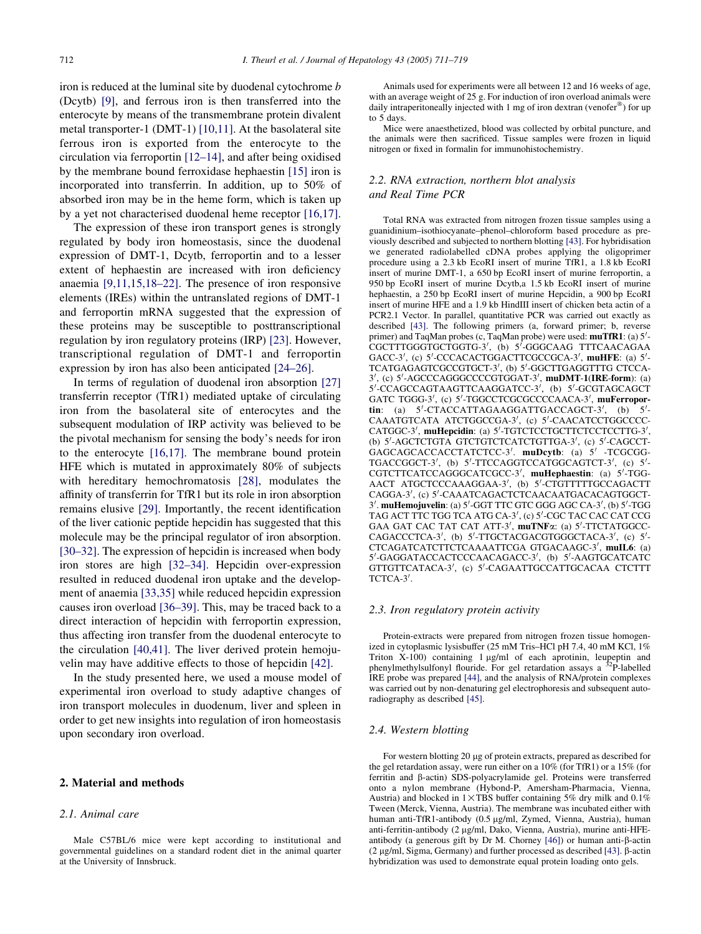iron is reduced at the luminal site by duodenal cytochrome b (Dcytb) [\[9\],](#page-7-0) and ferrous iron is then transferred into the enterocyte by means of the transmembrane protein divalent metal transporter-1 (DMT-1) [\[10,11\]](#page-7-0). At the basolateral site ferrous iron is exported from the enterocyte to the circulation via ferroportin [\[12–14\]](#page-7-0), and after being oxidised by the membrane bound ferroxidase hephaestin [\[15\]](#page-7-0) iron is incorporated into transferrin. In addition, up to 50% of absorbed iron may be in the heme form, which is taken up by a yet not characterised duodenal heme receptor [\[16,17\]](#page-7-0).

The expression of these iron transport genes is strongly regulated by body iron homeostasis, since the duodenal expression of DMT-1, Dcytb, ferroportin and to a lesser extent of hephaestin are increased with iron deficiency anaemia [\[9,11,15,18–22\].](#page-7-0) The presence of iron responsive elements (IREs) within the untranslated regions of DMT-1 and ferroportin mRNA suggested that the expression of these proteins may be susceptible to posttranscriptional regulation by iron regulatory proteins (IRP) [\[23\]](#page-7-0). However, transcriptional regulation of DMT-1 and ferroportin expression by iron has also been anticipated [\[24–26\]](#page-7-0).

In terms of regulation of duodenal iron absorption [\[27\]](#page-7-0) transferrin receptor (TfR1) mediated uptake of circulating iron from the basolateral site of enterocytes and the subsequent modulation of IRP activity was believed to be the pivotal mechanism for sensing the body's needs for iron to the enterocyte [\[16,17\]](#page-7-0). The membrane bound protein HFE which is mutated in approximately 80% of subjects with hereditary hemochromatosis [\[28\],](#page-7-0) modulates the affinity of transferrin for TfR1 but its role in iron absorption remains elusive [\[29\]](#page-7-0). Importantly, the recent identification of the liver cationic peptide hepcidin has suggested that this molecule may be the principal regulator of iron absorption. [\[30–32\]](#page-7-0). The expression of hepcidin is increased when body iron stores are high [\[32–34\]](#page-7-0). Hepcidin over-expression resulted in reduced duodenal iron uptake and the development of anaemia [\[33,35\]](#page-7-0) while reduced hepcidin expression causes iron overload [\[36–39\]](#page-7-0). This, may be traced back to a direct interaction of hepcidin with ferroportin expression, thus affecting iron transfer from the duodenal enterocyte to the circulation [\[40,41\].](#page-7-0) The liver derived protein hemojuvelin may have additive effects to those of hepcidin [\[42\].](#page-8-0)

In the study presented here, we used a mouse model of experimental iron overload to study adaptive changes of iron transport molecules in duodenum, liver and spleen in order to get new insights into regulation of iron homeostasis upon secondary iron overload.

#### 2. Material and methods

#### 2.1. Animal care

Male C57BL/6 mice were kept according to institutional and governmental guidelines on a standard rodent diet in the animal quarter at the University of Innsbruck.

Animals used for experiments were all between 12 and 16 weeks of age, with an average weight of 25 g. For induction of iron overload animals were daily intraperitoneally injected with 1 mg of iron dextran (venofer<sup>®</sup>) for up to 5 days.

Mice were anaesthetized, blood was collected by orbital puncture, and the animals were then sacrificed. Tissue samples were frozen in liquid nitrogen or fixed in formalin for immunohistochemistry.

## 2.2. RNA extraction, northern blot analysis and Real Time PCR

Total RNA was extracted from nitrogen frozen tissue samples using a guanidinium–isothiocyanate–phenol–chloroform based procedure as previously described and subjected to northern blotting [\[43\].](#page-8-0) For hybridisation we generated radiolabelled cDNA probes applying the oligoprimer procedure using a 2.3 kb EcoRI insert of murine TfR1, a 1.8 kb EcoRI insert of murine DMT-1, a 650 bp EcoRI insert of murine ferroportin, a 950 bp EcoRI insert of murine Dcytb,a 1.5 kb EcoRI insert of murine hephaestin, a 250 bp EcoRI insert of murine Hepcidin, a 900 bp EcoRI insert of murine HFE and a 1.9 kb HindIII insert of chicken beta actin of a PCR2.1 Vector. In parallel, quantitative PCR was carried out exactly as described [\[43\].](#page-8-0) The following primers (a, forward primer; b, reverse primer) and TaqMan probes (c, TaqMan probe) were used:  $mu$ TfR1: (a)  $5'$ -CGCTTTGGGTGCTGGTG-3', (b) 5'-GGGCAAG TTTCAACAGAA GACC-3', (c) 5'-CCCACACTGGACTTCGCCGCA-3', muHFE: (a) 5'-TCATGAGAGTCGCCGTGCT-3', (b) 5'-GGCTTGAGGTTTG CTCCA-3', (c) 5'-AGCCCAGGGCCCCGTGGAT-3', muDMT-1(IRE-form): (a)<br>5'-CCAGCCAGTAAGTTCAAGGATCC-3', (b) 5'-GCGTAGCAGCT GATC TGGG-3', (c) 5'-TGGCCTCGCGCCCCAACA-3', muFerropor**tin**: (a)  $5'$ -CTACCATTAGAAGGATTGACCAGCT-3', (b)  $5'$ - CAAATGTCATA ATCTGGCCGA-3', (c) 5'-CAACATCCTGGCCCC-CATGGC-3', muHepcidin: (a) 5'-TGTCTCCTGCTTCTCCTCCTTG-3', (b) 5'-AGCTCTGTA GTCTGTCTCATCTGTTGA-3', (c) 5'-CAGCCT-<br>GAGCAGCACCACCTATCTCC-3'. muDeytb: (a) 5' -TCGCGG-TGACCGGCT-3', (b) 5'-TTCCAGGTCCATGGCAGTCT-3', (c) 5'-CGTCTTCATCCAGGGCATCGCC-3', muHephaestin: (a) 5'-TGG-AACT ATGCTCCCAAAGGAA-3', (b) 5'-CTGTTTTTGCCAGACTT CAGGA-3', (c) 5'-CAAATCAGACTCTCAACAATGACACAGTGGCT-3'. muHemojuvelin: (a) 5'-GGT TTC GTC GGG AGC CA-3', (b) 5'-TGG TAG ACT TTC TGG TCA ATG CA-3', (c) 5'-CGC TAC CAC CAT CCG GAA GAT CAC TAT CAT ATT-3', muTNFa: (a) 5'-TTCTATGGCC-CAGACCCTCA-3', (b) 5'-TTGCTACGACGTGGGCTACA-3', (c) 5'-CTCAGATCATCTTCTCAAAATTCGA GTGACAAGC-3', muIL6: (a) 5'-GAGGATACCACTCCCAACAGACC-3', (b) 5'-AAGTGCATCATC GTTGTTCATACA-3', (c) 5'-CAGAATTGCCATTGCACAA CTCTTT TCTCA-3'.

#### 2.3. Iron regulatory protein activity

Protein-extracts were prepared from nitrogen frozen tissue homogenized in cytoplasmic lysisbuffer (25 mM Tris–HCl pH 7.4, 40 mM KCl, 1% Triton  $X-100$ ) containing 1  $\mu$ g/ml of each aprotinin, leupeptin and phenylmethylsulfonyl flouride. For gel retardation assays a <sup>32</sup>P-labelled IRE probe was prepared [\[44\]](#page-8-0), and the analysis of RNA/protein complexes was carried out by non-denaturing gel electrophoresis and subsequent autoradiography as described [\[45\].](#page-8-0)

#### 2.4. Western blotting

For western blotting 20 µg of protein extracts, prepared as described for the gel retardation assay, were run either on a 10% (for TfR1) or a 15% (for ferritin and b-actin) SDS-polyacrylamide gel. Proteins were transferred onto a nylon membrane (Hybond-P, Amersham-Pharmacia, Vienna, Austria) and blocked in  $1 \times TBS$  buffer containing 5% dry milk and 0.1% Tween (Merck, Vienna, Austria). The membrane was incubated either with human anti-TfR1-antibody (0.5 µg/ml, Zymed, Vienna, Austria), human anti-ferritin-antibody (2 µg/ml, Dako, Vienna, Austria), murine anti-HFEantibody (a generous gift by Dr M. Chorney  $[46]$ ) or human anti- $\beta$ -actin  $(2 \text{ up/ml}$ , Sigma, Germany) and further processed as described [\[43\].](#page-8-0) B-actin hybridization was used to demonstrate equal protein loading onto gels.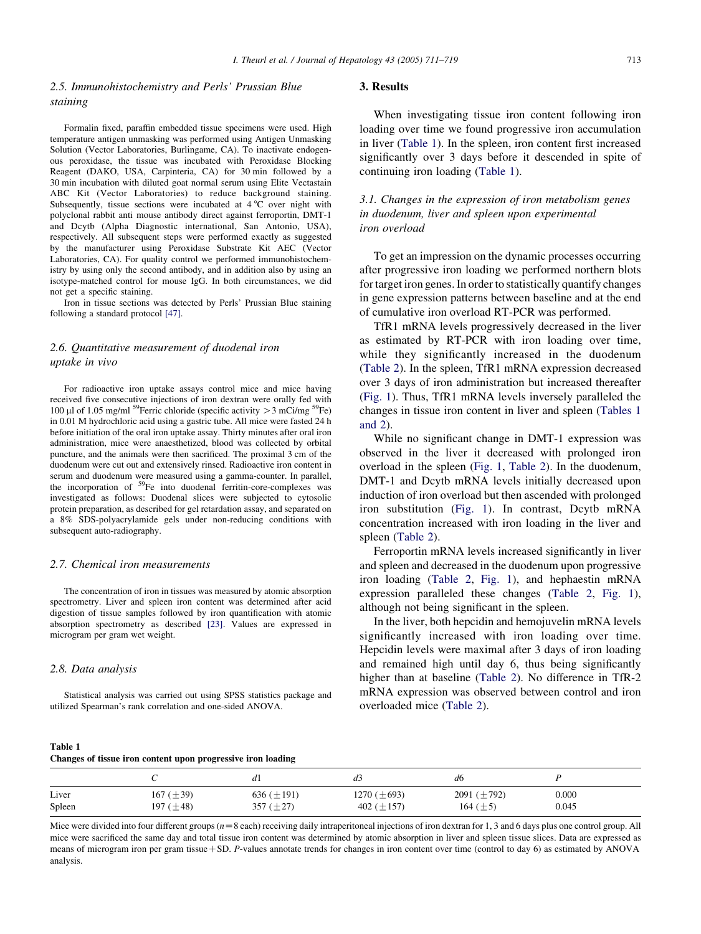## <span id="page-2-0"></span>2.5. Immunohistochemistry and Perls' Prussian Blue staining

Formalin fixed, paraffin embedded tissue specimens were used. High temperature antigen unmasking was performed using Antigen Unmasking Solution (Vector Laboratories, Burlingame, CA). To inactivate endogenous peroxidase, the tissue was incubated with Peroxidase Blocking Reagent (DAKO, USA, Carpinteria, CA) for 30 min followed by a 30 min incubation with diluted goat normal serum using Elite Vectastain ABC Kit (Vector Laboratories) to reduce background staining. Subsequently, tissue sections were incubated at  $4^{\circ}$ C over night with polyclonal rabbit anti mouse antibody direct against ferroportin, DMT-1 and Dcytb (Alpha Diagnostic international, San Antonio, USA), respectively. All subsequent steps were performed exactly as suggested by the manufacturer using Peroxidase Substrate Kit AEC (Vector Laboratories, CA). For quality control we performed immunohistochemistry by using only the second antibody, and in addition also by using an isotype-matched control for mouse IgG. In both circumstances, we did not get a specific staining.

Iron in tissue sections was detected by Perls' Prussian Blue staining following a standard protocol [\[47\]](#page-8-0).

## 2.6. Quantitative measurement of duodenal iron uptake in vivo

For radioactive iron uptake assays control mice and mice having received five consecutive injections of iron dextran were orally fed with 100 µl of 1.05 mg/ml <sup>59</sup>Ferric chloride (specific activity  $>$  3 mCi/mg <sup>59</sup>Fe) in 0.01 M hydrochloric acid using a gastric tube. All mice were fasted 24 h before initiation of the oral iron uptake assay. Thirty minutes after oral iron administration, mice were anaesthetized, blood was collected by orbital puncture, and the animals were then sacrificed. The proximal 3 cm of the duodenum were cut out and extensively rinsed. Radioactive iron content in serum and duodenum were measured using a gamma-counter. In parallel, the incorporation of <sup>59</sup>Fe into duodenal ferritin-core-complexes was investigated as follows: Duodenal slices were subjected to cytosolic protein preparation, as described for gel retardation assay, and separated on a 8% SDS-polyacrylamide gels under non-reducing conditions with subsequent auto-radiography.

## 2.7. Chemical iron measurements

The concentration of iron in tissues was measured by atomic absorption spectrometry. Liver and spleen iron content was determined after acid digestion of tissue samples followed by iron quantification with atomic absorption spectrometry as described [\[23\]](#page-7-0). Values are expressed in microgram per gram wet weight.

#### 2.8. Data analysis

Statistical analysis was carried out using SPSS statistics package and utilized Spearman's rank correlation and one-sided ANOVA.

## 3. Results

When investigating tissue iron content following iron loading over time we found progressive iron accumulation in liver (Table 1). In the spleen, iron content first increased significantly over 3 days before it descended in spite of continuing iron loading (Table 1).

# 3.1. Changes in the expression of iron metabolism genes in duodenum, liver and spleen upon experimental iron overload

To get an impression on the dynamic processes occurring after progressive iron loading we performed northern blots for target iron genes. In order to statistically quantify changes in gene expression patterns between baseline and at the end of cumulative iron overload RT-PCR was performed.

TfR1 mRNA levels progressively decreased in the liver as estimated by RT-PCR with iron loading over time, while they significantly increased in the duodenum ([Table 2](#page-3-0)). In the spleen, TfR1 mRNA expression decreased over 3 days of iron administration but increased thereafter ([Fig. 1\)](#page-3-0). Thus, TfR1 mRNA levels inversely paralleled the changes in tissue iron content in liver and spleen (Tables 1 and 2).

While no significant change in DMT-1 expression was observed in the liver it decreased with prolonged iron overload in the spleen ([Fig. 1,](#page-3-0) [Table 2\)](#page-3-0). In the duodenum, DMT-1 and Dcytb mRNA levels initially decreased upon induction of iron overload but then ascended with prolonged iron substitution ([Fig. 1\)](#page-3-0). In contrast, Dcytb mRNA concentration increased with iron loading in the liver and spleen [\(Table 2](#page-3-0)).

Ferroportin mRNA levels increased significantly in liver and spleen and decreased in the duodenum upon progressive iron loading ([Table 2](#page-3-0), [Fig. 1](#page-3-0)), and hephaestin mRNA expression paralleled these changes ([Table 2](#page-3-0), [Fig. 1\)](#page-3-0), although not being significant in the spleen.

In the liver, both hepcidin and hemojuvelin mRNA levels significantly increased with iron loading over time. Hepcidin levels were maximal after 3 days of iron loading and remained high until day 6, thus being significantly higher than at baseline [\(Table 2\)](#page-3-0). No difference in TfR-2 mRNA expression was observed between control and iron overloaded mice ([Table 2\)](#page-3-0).

| Table 1                                                      |  |
|--------------------------------------------------------------|--|
| Changes of tissue iron content upon progressive iron loading |  |

|        |                | đΙ              |                   | d6               |       |
|--------|----------------|-----------------|-------------------|------------------|-------|
| Liver  | 167 $(\pm 39)$ | 636 $(\pm 191)$ | 1270 ( $\pm$ 693) | 2091 $(\pm 792)$ | 0.000 |
| Spleen | 197 $(\pm 48)$ | 357 $(\pm 27)$  | 402 ( $\pm$ 157)  | 164 $(\pm 5)$    | 0.045 |

Mice were divided into four different groups  $(n=8 \text{ each})$  receiving daily intraperitoneal injections of iron dextran for 1, 3 and 6 days plus one control group. All mice were sacrificed the same day and total tissue iron content was determined by atomic absorption in liver and spleen tissue slices. Data are expressed as means of microgram iron per gram tissue  $+$  SD. P-values annotate trends for changes in iron content over time (control to day 6) as estimated by ANOVA analysis.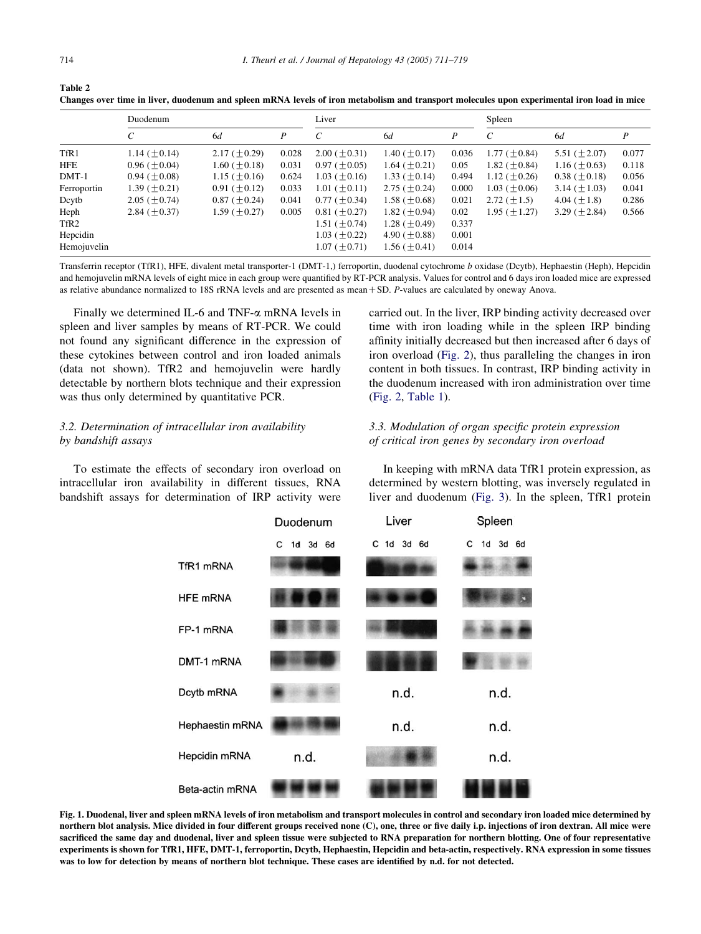<span id="page-3-0"></span>

| Table 2                                                                                                                                    |
|--------------------------------------------------------------------------------------------------------------------------------------------|
| Changes over time in liver, duodenum and spleen mRNA levels of iron metabolism and transport molecules upon experimental iron load in mice |

|                  | Duodenum            |                      |       | Liver                |                     | Spleen |                       |                     |       |
|------------------|---------------------|----------------------|-------|----------------------|---------------------|--------|-----------------------|---------------------|-------|
|                  | C                   | 6d                   | P     | C                    | 6d                  | P      | $\mathcal{C}_{0}^{0}$ | 6d                  | P     |
| TfR1             | $1.14 \ (\pm 0.14)$ | $2.17 \ (\pm 0.29)$  | 0.028 | $2.00$ ( $\pm$ 0.31) | 1.40 ( $\pm$ 0.17)  | 0.036  | 1.77 ( $\pm$ 0.84)    | 5.51 $(\pm 2.07)$   | 0.077 |
| <b>HFE</b>       | $0.96~(\pm 0.04)$   | $1.60~(\pm 0.18)$    | 0.031 | $0.97~(\pm 0.05)$    | 1.64 $(\pm 0.21)$   | 0.05   | 1.82 $(\pm 0.84)$     | $1.16 \ (\pm 0.63)$ | 0.118 |
| $DMT-1$          | $0.94~(\pm 0.08)$   | $1.15 \ (\pm 0.16)$  | 0.624 | $1.03~(\pm 0.16)$    | 1.33 $(\pm 0.14)$   | 0.494  | 1.12 $(\pm 0.26)$     | $0.38~(\pm 0.18)$   | 0.056 |
| Ferroportin      | $1.39 \ (\pm 0.21)$ | $0.91$ ( $\pm$ 0.12) | 0.033 | $1.01 (\pm 0.11)$    | 2.75 $(\pm 0.24)$   | 0.000  | $1.03~(\pm 0.06)$     | 3.14 $(\pm 1.03)$   | 0.041 |
| Dcytb            | $2.05~(\pm 0.74)$   | $0.87~(\pm 0.24)$    | 0.041 | $0.77~(\pm 0.34)$    | 1.58 ( $\pm$ 0.68)  | 0.021  | 2.72 $(\pm 1.5)$      | 4.04 $(\pm 1.8)$    | 0.286 |
| Heph             | 2.84 $(\pm 0.37)$   | 1.59 $(\pm 0.27)$    | 0.005 | $0.81$ ( $\pm$ 0.27) | 1.82 $(\pm 0.94)$   | 0.02   | $1.95 \ (\pm 1.27)$   | 3.29 $(\pm 2.84)$   | 0.566 |
| TfR <sub>2</sub> |                     |                      |       | $1.51 (\pm 0.74)$    | 1.28 $(\pm 0.49)$   | 0.337  |                       |                     |       |
| Hepcidin         |                     |                      |       | $1.03~(\pm 0.22)$    | 4.90 ( $\pm$ 0.88)  | 0.001  |                       |                     |       |
| Hemojuvelin      |                     |                      |       | $1.07 \ (\pm 0.71)$  | $1.56 \ (\pm 0.41)$ | 0.014  |                       |                     |       |

Transferrin receptor (TfR1), HFE, divalent metal transporter-1 (DMT-1,) ferroportin, duodenal cytochrome b oxidase (Dcytb), Hephaestin (Heph), Hepcidin and hemojuvelin mRNA levels of eight mice in each group were quantified by RT-PCR analysis. Values for control and 6 days iron loaded mice are expressed as relative abundance normalized to 18S rRNA levels and are presented as mean  $+$  SD. P-values are calculated by oneway Anova.

Finally we determined IL-6 and TNF- $\alpha$  mRNA levels in spleen and liver samples by means of RT-PCR. We could not found any significant difference in the expression of these cytokines between control and iron loaded animals (data not shown). TfR2 and hemojuvelin were hardly detectable by northern blots technique and their expression was thus only determined by quantitative PCR.

# 3.2. Determination of intracellular iron availability by bandshift assays

To estimate the effects of secondary iron overload on intracellular iron availability in different tissues, RNA bandshift assays for determination of IRP activity were carried out. In the liver, IRP binding activity decreased over time with iron loading while in the spleen IRP binding affinity initially decreased but then increased after 6 days of iron overload ([Fig. 2\)](#page-4-0), thus paralleling the changes in iron content in both tissues. In contrast, IRP binding activity in the duodenum increased with iron administration over time ([Fig. 2,](#page-4-0) [Table 1](#page-2-0)).

# 3.3. Modulation of organ specific protein expression of critical iron genes by secondary iron overload



In keeping with mRNA data TfR1 protein expression, as determined by western blotting, was inversely regulated in liver and duodenum [\(Fig. 3\)](#page-4-0). In the spleen, TfR1 protein

Fig. 1. Duodenal, liver and spleen mRNA levels of iron metabolism and transport molecules in control and secondary iron loaded mice determined by northern blot analysis. Mice divided in four different groups received none (C), one, three or five daily i.p. injections of iron dextran. All mice were sacrificed the same day and duodenal, liver and spleen tissue were subjected to RNA preparation for northern blotting. One of four representative experiments is shown for TfR1, HFE, DMT-1, ferroportin, Dcytb, Hephaestin, Hepcidin and beta-actin, respectively. RNA expression in some tissues was to low for detection by means of northern blot technique. These cases are identified by n.d. for not detected.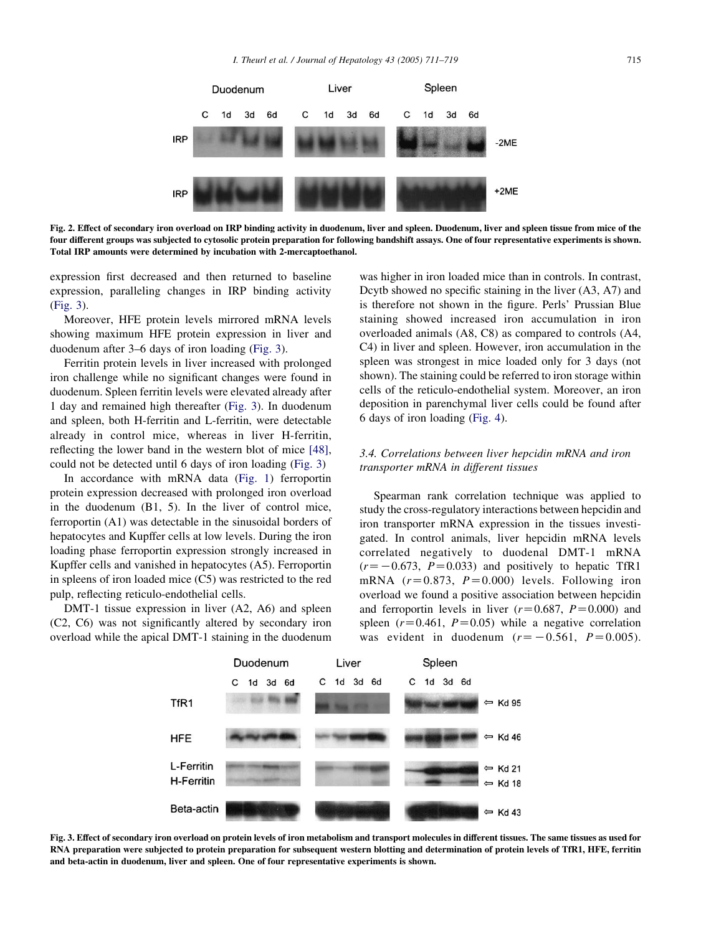<span id="page-4-0"></span>

Fig. 2. Effect of secondary iron overload on IRP binding activity in duodenum, liver and spleen. Duodenum, liver and spleen tissue from mice of the four different groups was subjected to cytosolic protein preparation for following bandshift assays. One of four representative experiments is shown. Total IRP amounts were determined by incubation with 2-mercaptoethanol.

expression first decreased and then returned to baseline expression, paralleling changes in IRP binding activity (Fig. 3).

Moreover, HFE protein levels mirrored mRNA levels showing maximum HFE protein expression in liver and duodenum after 3–6 days of iron loading (Fig. 3).

Ferritin protein levels in liver increased with prolonged iron challenge while no significant changes were found in duodenum. Spleen ferritin levels were elevated already after 1 day and remained high thereafter (Fig. 3). In duodenum and spleen, both H-ferritin and L-ferritin, were detectable already in control mice, whereas in liver H-ferritin, reflecting the lower band in the western blot of mice [\[48\]](#page-8-0), could not be detected until 6 days of iron loading (Fig. 3)

In accordance with mRNA data ([Fig. 1](#page-3-0)) ferroportin protein expression decreased with prolonged iron overload in the duodenum (B1, 5). In the liver of control mice, ferroportin (A1) was detectable in the sinusoidal borders of hepatocytes and Kupffer cells at low levels. During the iron loading phase ferroportin expression strongly increased in Kupffer cells and vanished in hepatocytes (A5). Ferroportin in spleens of iron loaded mice (C5) was restricted to the red pulp, reflecting reticulo-endothelial cells.

DMT-1 tissue expression in liver (A2, A6) and spleen (C2, C6) was not significantly altered by secondary iron overload while the apical DMT-1 staining in the duodenum

was higher in iron loaded mice than in controls. In contrast, Dcytb showed no specific staining in the liver (A3, A7) and is therefore not shown in the figure. Perls' Prussian Blue staining showed increased iron accumulation in iron overloaded animals (A8, C8) as compared to controls (A4, C4) in liver and spleen. However, iron accumulation in the spleen was strongest in mice loaded only for 3 days (not shown). The staining could be referred to iron storage within cells of the reticulo-endothelial system. Moreover, an iron deposition in parenchymal liver cells could be found after 6 days of iron loading ([Fig. 4](#page-5-0)).

## 3.4. Correlations between liver hepcidin mRNA and iron transporter mRNA in different tissues

Spearman rank correlation technique was applied to study the cross-regulatory interactions between hepcidin and iron transporter mRNA expression in the tissues investigated. In control animals, liver hepcidin mRNA levels correlated negatively to duodenal DMT-1 mRNA  $(r=-0.673, P=0.033)$  and positively to hepatic TfR1 mRNA  $(r=0.873, P=0.000)$  levels. Following iron overload we found a positive association between hepcidin and ferroportin levels in liver  $(r=0.687, P=0.000)$  and spleen  $(r=0.461, P=0.05)$  while a negative correlation was evident in duodenum  $(r=-0.561, P=0.005)$ .



Fig. 3. Effect of secondary iron overload on protein levels of iron metabolism and transport molecules in different tissues. The same tissues as used for RNA preparation were subjected to protein preparation for subsequent western blotting and determination of protein levels of TfR1, HFE, ferritin and beta-actin in duodenum, liver and spleen. One of four representative experiments is shown.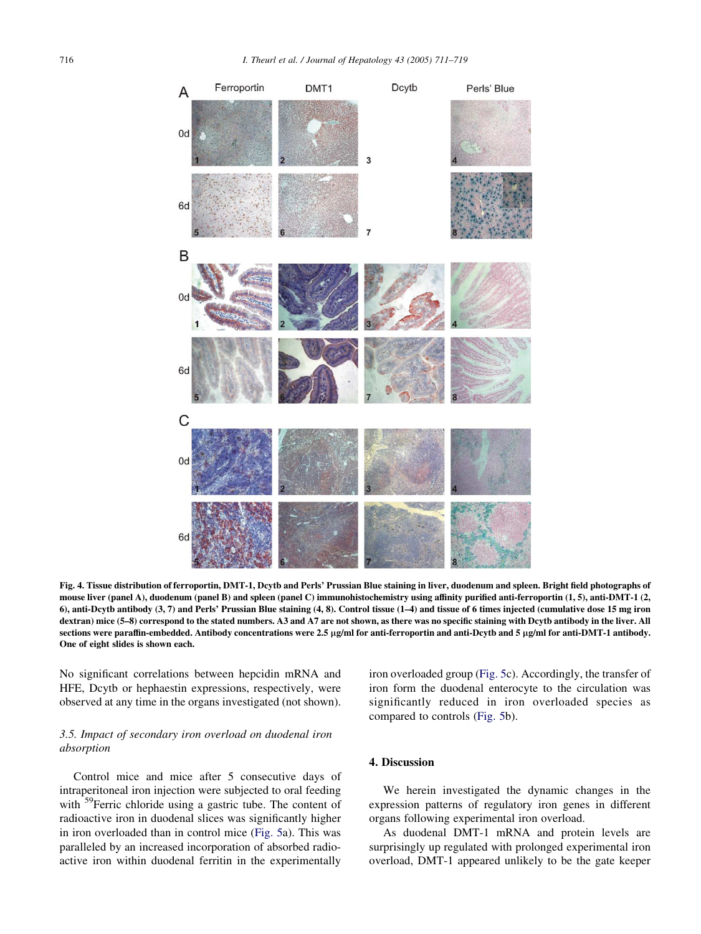<span id="page-5-0"></span>

Fig. 4. Tissue distribution of ferroportin, DMT-1, Dcytb and Perls' Prussian Blue staining in liver, duodenum and spleen. Bright field photographs of mouse liver (panel A), duodenum (panel B) and spleen (panel C) immunohistochemistry using affinity purified anti-ferroportin (1, 5), anti-DMT-1 (2, 6), anti-Dcytb antibody (3, 7) and Perls' Prussian Blue staining (4, 8). Control tissue (1–4) and tissue of 6 times injected (cumulative dose 15 mg iron dextran) mice (5–8) correspond to the stated numbers. A3 and A7 are not shown, as there was no specific staining with Dcytb antibody in the liver. All sections were paraffin-embedded. Antibody concentrations were 2.5 µg/ml for anti-ferroportin and anti-Dcytb and 5 µg/ml for anti-DMT-1 antibody. One of eight slides is shown each.

No significant correlations between hepcidin mRNA and HFE, Dcytb or hephaestin expressions, respectively, were observed at any time in the organs investigated (not shown).

## 3.5. Impact of secondary iron overload on duodenal iron absorption

Control mice and mice after 5 consecutive days of intraperitoneal iron injection were subjected to oral feeding with <sup>59</sup>Ferric chloride using a gastric tube. The content of radioactive iron in duodenal slices was significantly higher in iron overloaded than in control mice [\(Fig. 5](#page-6-0)a). This was paralleled by an increased incorporation of absorbed radioactive iron within duodenal ferritin in the experimentally

iron overloaded group [\(Fig. 5](#page-6-0)c). Accordingly, the transfer of iron form the duodenal enterocyte to the circulation was significantly reduced in iron overloaded species as compared to controls [\(Fig. 5](#page-6-0)b).

## 4. Discussion

We herein investigated the dynamic changes in the expression patterns of regulatory iron genes in different organs following experimental iron overload.

As duodenal DMT-1 mRNA and protein levels are surprisingly up regulated with prolonged experimental iron overload, DMT-1 appeared unlikely to be the gate keeper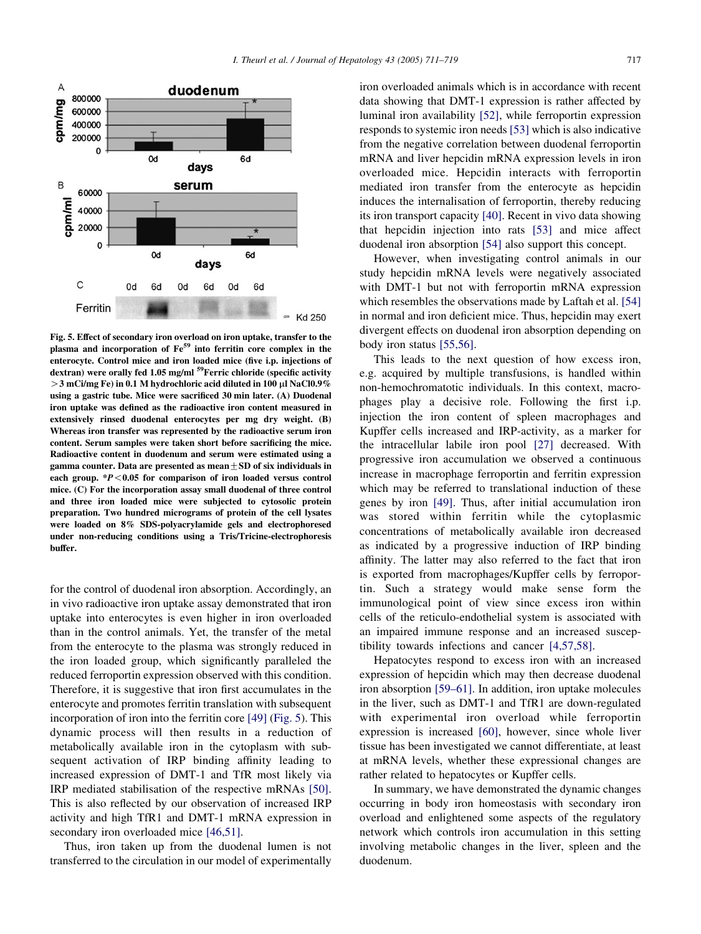<span id="page-6-0"></span>

Fig. 5. Effect of secondary iron overload on iron uptake, transfer to the plasma and incorporation of Fe59 into ferritin core complex in the enterocyte. Control mice and iron loaded mice (five i.p. injections of dextran) were orally fed 1.05 mg/ml <sup>59</sup>Ferric chloride (specific activity  $>$  3 mCi/mg Fe) in 0.1 M hydrochloric acid diluted in 100 µl NaCl0.9% using a gastric tube. Mice were sacrificed 30 min later. (A) Duodenal iron uptake was defined as the radioactive iron content measured in extensively rinsed duodenal enterocytes per mg dry weight. (B) Whereas iron transfer was represented by the radioactive serum iron content. Serum samples were taken short before sacrificing the mice. Radioactive content in duodenum and serum were estimated using a gamma counter. Data are presented as mean  $\pm$  SD of six individuals in each group.  $*P < 0.05$  for comparison of iron loaded versus control mice. (C) For the incorporation assay small duodenal of three control and three iron loaded mice were subjected to cytosolic protein preparation. Two hundred micrograms of protein of the cell lysates were loaded on 8% SDS-polyacrylamide gels and electrophoresed under non-reducing conditions using a Tris/Tricine-electrophoresis buffer.

for the control of duodenal iron absorption. Accordingly, an in vivo radioactive iron uptake assay demonstrated that iron uptake into enterocytes is even higher in iron overloaded than in the control animals. Yet, the transfer of the metal from the enterocyte to the plasma was strongly reduced in the iron loaded group, which significantly paralleled the reduced ferroportin expression observed with this condition. Therefore, it is suggestive that iron first accumulates in the enterocyte and promotes ferritin translation with subsequent incorporation of iron into the ferritin core [\[49\]](#page-8-0) (Fig. 5). This dynamic process will then results in a reduction of metabolically available iron in the cytoplasm with subsequent activation of IRP binding affinity leading to increased expression of DMT-1 and TfR most likely via IRP mediated stabilisation of the respective mRNAs [\[50\]](#page-8-0). This is also reflected by our observation of increased IRP activity and high TfR1 and DMT-1 mRNA expression in secondary iron overloaded mice [\[46,51\]](#page-8-0).

Thus, iron taken up from the duodenal lumen is not transferred to the circulation in our model of experimentally

iron overloaded animals which is in accordance with recent data showing that DMT-1 expression is rather affected by luminal iron availability [\[52\]](#page-8-0), while ferroportin expression responds to systemic iron needs [\[53\]](#page-8-0) which is also indicative from the negative correlation between duodenal ferroportin mRNA and liver hepcidin mRNA expression levels in iron overloaded mice. Hepcidin interacts with ferroportin mediated iron transfer from the enterocyte as hepcidin induces the internalisation of ferroportin, thereby reducing its iron transport capacity [\[40\]](#page-7-0). Recent in vivo data showing that hepcidin injection into rats [\[53\]](#page-8-0) and mice affect duodenal iron absorption [\[54\]](#page-8-0) also support this concept.

However, when investigating control animals in our study hepcidin mRNA levels were negatively associated with DMT-1 but not with ferroportin mRNA expression which resembles the observations made by Laftah et al. [\[54\]](#page-8-0) in normal and iron deficient mice. Thus, hepcidin may exert divergent effects on duodenal iron absorption depending on body iron status [\[55,56\]](#page-8-0).

This leads to the next question of how excess iron, e.g. acquired by multiple transfusions, is handled within non-hemochromatotic individuals. In this context, macrophages play a decisive role. Following the first i.p. injection the iron content of spleen macrophages and Kupffer cells increased and IRP-activity, as a marker for the intracellular labile iron pool [\[27\]](#page-7-0) decreased. With progressive iron accumulation we observed a continuous increase in macrophage ferroportin and ferritin expression which may be referred to translational induction of these genes by iron [\[49\].](#page-8-0) Thus, after initial accumulation iron was stored within ferritin while the cytoplasmic concentrations of metabolically available iron decreased as indicated by a progressive induction of IRP binding affinity. The latter may also referred to the fact that iron is exported from macrophages/Kupffer cells by ferroportin. Such a strategy would make sense form the immunological point of view since excess iron within cells of the reticulo-endothelial system is associated with an impaired immune response and an increased susceptibility towards infections and cancer [\[4,57,58\]](#page-7-0).

Hepatocytes respond to excess iron with an increased expression of hepcidin which may then decrease duodenal iron absorption [\[59–61\]](#page-8-0). In addition, iron uptake molecules in the liver, such as DMT-1 and TfR1 are down-regulated with experimental iron overload while ferroportin expression is increased [\[60\]](#page-8-0), however, since whole liver tissue has been investigated we cannot differentiate, at least at mRNA levels, whether these expressional changes are rather related to hepatocytes or Kupffer cells.

In summary, we have demonstrated the dynamic changes occurring in body iron homeostasis with secondary iron overload and enlightened some aspects of the regulatory network which controls iron accumulation in this setting involving metabolic changes in the liver, spleen and the duodenum.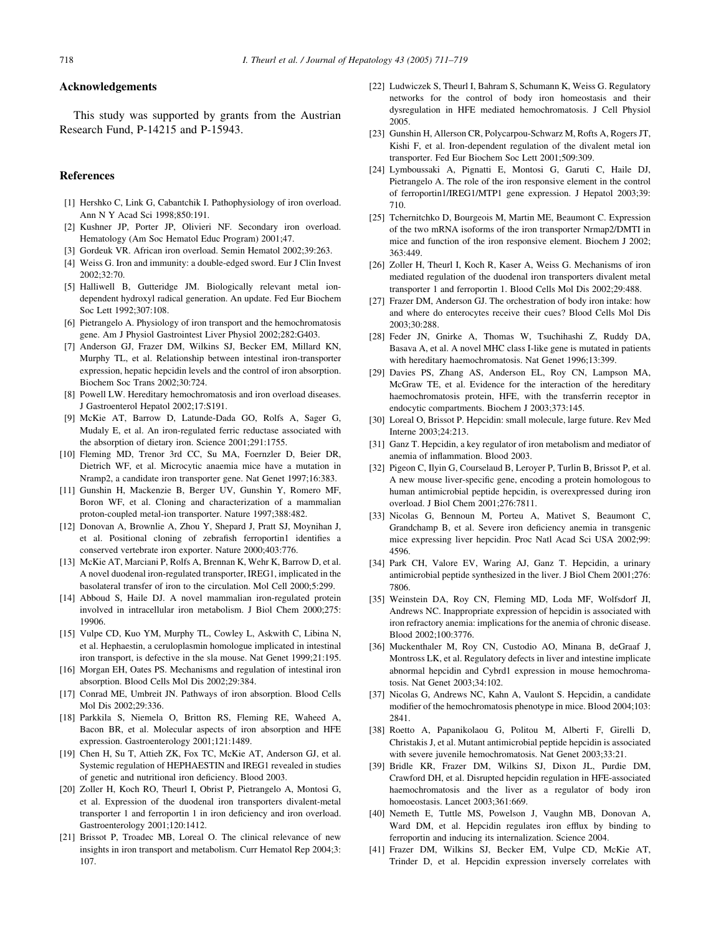#### <span id="page-7-0"></span>Acknowledgements

This study was supported by grants from the Austrian Research Fund, P-14215 and P-15943.

#### References

- [1] Hershko C, Link G, Cabantchik I. Pathophysiology of iron overload. Ann N Y Acad Sci 1998;850:191.
- [2] Kushner JP, Porter JP, Olivieri NF. Secondary iron overload. Hematology (Am Soc Hematol Educ Program) 2001;47.
- [3] Gordeuk VR. African iron overload. Semin Hematol 2002;39:263.
- [4] Weiss G. Iron and immunity: a double-edged sword. Eur J Clin Invest 2002;32:70.
- [5] Halliwell B, Gutteridge JM. Biologically relevant metal iondependent hydroxyl radical generation. An update. Fed Eur Biochem Soc Lett 1992;307:108.
- [6] Pietrangelo A. Physiology of iron transport and the hemochromatosis gene. Am J Physiol Gastrointest Liver Physiol 2002;282:G403.
- [7] Anderson GJ, Frazer DM, Wilkins SJ, Becker EM, Millard KN, Murphy TL, et al. Relationship between intestinal iron-transporter expression, hepatic hepcidin levels and the control of iron absorption. Biochem Soc Trans 2002;30:724.
- [8] Powell LW. Hereditary hemochromatosis and iron overload diseases. J Gastroenterol Hepatol 2002;17:S191.
- [9] McKie AT, Barrow D, Latunde-Dada GO, Rolfs A, Sager G, Mudaly E, et al. An iron-regulated ferric reductase associated with the absorption of dietary iron. Science 2001;291:1755.
- [10] Fleming MD, Trenor 3rd CC, Su MA, Foernzler D, Beier DR, Dietrich WF, et al. Microcytic anaemia mice have a mutation in Nramp2, a candidate iron transporter gene. Nat Genet 1997;16:383.
- [11] Gunshin H, Mackenzie B, Berger UV, Gunshin Y, Romero MF, Boron WF, et al. Cloning and characterization of a mammalian proton-coupled metal-ion transporter. Nature 1997;388:482.
- [12] Donovan A, Brownlie A, Zhou Y, Shepard J, Pratt SJ, Moynihan J, et al. Positional cloning of zebrafish ferroportin1 identifies a conserved vertebrate iron exporter. Nature 2000;403:776.
- [13] McKie AT, Marciani P, Rolfs A, Brennan K, Wehr K, Barrow D, et al. A novel duodenal iron-regulated transporter, IREG1, implicated in the basolateral transfer of iron to the circulation. Mol Cell 2000;5:299.
- [14] Abboud S, Haile DJ. A novel mammalian iron-regulated protein involved in intracellular iron metabolism. J Biol Chem 2000;275: 19906.
- [15] Vulpe CD, Kuo YM, Murphy TL, Cowley L, Askwith C, Libina N, et al. Hephaestin, a ceruloplasmin homologue implicated in intestinal iron transport, is defective in the sla mouse. Nat Genet 1999;21:195.
- [16] Morgan EH, Oates PS. Mechanisms and regulation of intestinal iron absorption. Blood Cells Mol Dis 2002;29:384.
- [17] Conrad ME, Umbreit JN. Pathways of iron absorption. Blood Cells Mol Dis 2002;29:336.
- [18] Parkkila S, Niemela O, Britton RS, Fleming RE, Waheed A, Bacon BR, et al. Molecular aspects of iron absorption and HFE expression. Gastroenterology 2001;121:1489.
- [19] Chen H, Su T, Attieh ZK, Fox TC, McKie AT, Anderson GJ, et al. Systemic regulation of HEPHAESTIN and IREG1 revealed in studies of genetic and nutritional iron deficiency. Blood 2003.
- [20] Zoller H, Koch RO, Theurl I, Obrist P, Pietrangelo A, Montosi G, et al. Expression of the duodenal iron transporters divalent-metal transporter 1 and ferroportin 1 in iron deficiency and iron overload. Gastroenterology 2001;120:1412.
- [21] Brissot P, Troadec MB, Loreal O. The clinical relevance of new insights in iron transport and metabolism. Curr Hematol Rep 2004;3: 107.
- [22] Ludwiczek S, Theurl I, Bahram S, Schumann K, Weiss G. Regulatory networks for the control of body iron homeostasis and their dysregulation in HFE mediated hemochromatosis. J Cell Physiol 2005.
- [23] Gunshin H, Allerson CR, Polycarpou-Schwarz M, Rofts A, Rogers JT, Kishi F, et al. Iron-dependent regulation of the divalent metal ion transporter. Fed Eur Biochem Soc Lett 2001;509:309.
- [24] Lymboussaki A, Pignatti E, Montosi G, Garuti C, Haile DJ, Pietrangelo A. The role of the iron responsive element in the control of ferroportin1/IREG1/MTP1 gene expression. J Hepatol 2003;39: 710.
- [25] Tchernitchko D, Bourgeois M, Martin ME, Beaumont C. Expression of the two mRNA isoforms of the iron transporter Nrmap2/DMTI in mice and function of the iron responsive element. Biochem J 2002; 363:449.
- [26] Zoller H, Theurl I, Koch R, Kaser A, Weiss G. Mechanisms of iron mediated regulation of the duodenal iron transporters divalent metal transporter 1 and ferroportin 1. Blood Cells Mol Dis 2002;29:488.
- [27] Frazer DM, Anderson GJ. The orchestration of body iron intake: how and where do enterocytes receive their cues? Blood Cells Mol Dis 2003;30:288.
- [28] Feder JN, Gnirke A, Thomas W, Tsuchihashi Z, Ruddy DA, Basava A, et al. A novel MHC class I-like gene is mutated in patients with hereditary haemochromatosis. Nat Genet 1996;13:399.
- [29] Davies PS, Zhang AS, Anderson EL, Roy CN, Lampson MA, McGraw TE, et al. Evidence for the interaction of the hereditary haemochromatosis protein, HFE, with the transferrin receptor in endocytic compartments. Biochem J 2003;373:145.
- [30] Loreal O, Brissot P. Hepcidin: small molecule, large future. Rev Med Interne 2003;24:213.
- [31] Ganz T. Hepcidin, a key regulator of iron metabolism and mediator of anemia of inflammation. Blood 2003.
- [32] Pigeon C, Ilyin G, Courselaud B, Leroyer P, Turlin B, Brissot P, et al. A new mouse liver-specific gene, encoding a protein homologous to human antimicrobial peptide hepcidin, is overexpressed during iron overload. J Biol Chem 2001;276:7811.
- [33] Nicolas G, Bennoun M, Porteu A, Mativet S, Beaumont C, Grandchamp B, et al. Severe iron deficiency anemia in transgenic mice expressing liver hepcidin. Proc Natl Acad Sci USA 2002;99: 4596.
- [34] Park CH, Valore EV, Waring AJ, Ganz T. Hepcidin, a urinary antimicrobial peptide synthesized in the liver. J Biol Chem 2001;276: 7806.
- [35] Weinstein DA, Roy CN, Fleming MD, Loda MF, Wolfsdorf JI, Andrews NC. Inappropriate expression of hepcidin is associated with iron refractory anemia: implications for the anemia of chronic disease. Blood 2002;100:3776.
- [36] Muckenthaler M, Roy CN, Custodio AO, Minana B, deGraaf J, Montross LK, et al. Regulatory defects in liver and intestine implicate abnormal hepcidin and Cybrd1 expression in mouse hemochromatosis. Nat Genet 2003;34:102.
- [37] Nicolas G, Andrews NC, Kahn A, Vaulont S. Hepcidin, a candidate modifier of the hemochromatosis phenotype in mice. Blood 2004;103: 2841.
- [38] Roetto A, Papanikolaou G, Politou M, Alberti F, Girelli D, Christakis J, et al. Mutant antimicrobial peptide hepcidin is associated with severe juvenile hemochromatosis. Nat Genet 2003;33:21.
- [39] Bridle KR, Frazer DM, Wilkins SJ, Dixon JL, Purdie DM, Crawford DH, et al. Disrupted hepcidin regulation in HFE-associated haemochromatosis and the liver as a regulator of body iron homoeostasis. Lancet 2003;361:669.
- [40] Nemeth E, Tuttle MS, Powelson J, Vaughn MB, Donovan A, Ward DM, et al. Hepcidin regulates iron efflux by binding to ferroportin and inducing its internalization. Science 2004.
- [41] Frazer DM, Wilkins SJ, Becker EM, Vulpe CD, McKie AT, Trinder D, et al. Hepcidin expression inversely correlates with